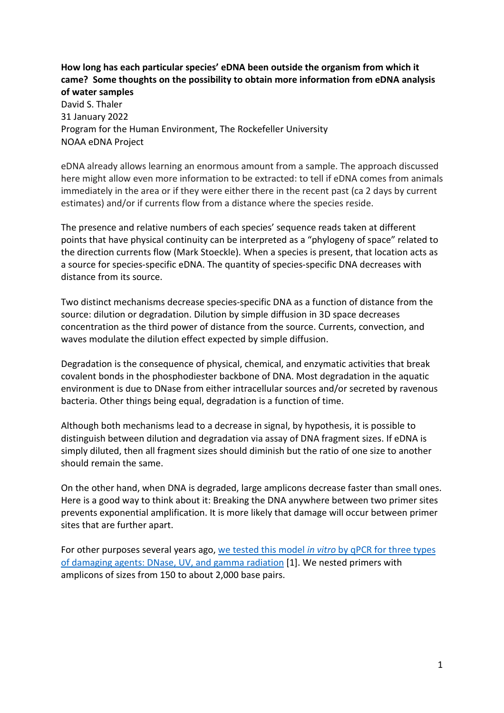## **How long has each particular species' eDNA been outside the organism from which it came? Some thoughts on the possibility to obtain more information from eDNA analysis of water samples**

David S. Thaler 31 January 2022 Program for the Human Environment, The Rockefeller University NOAA eDNA Project

eDNA already allows learning an enormous amount from a sample. The approach discussed here might allow even more information to be extracted: to tell if eDNA comes from animals immediately in the area or if they were either there in the recent past (ca 2 days by current estimates) and/or if currents flow from a distance where the species reside.

The presence and relative numbers of each species' sequence reads taken at different points that have physical continuity can be interpreted as a "phylogeny of space" related to the direction currents flow (Mark Stoeckle). When a species is present, that location acts as a source for species-specific eDNA. The quantity of species-specific DNA decreases with distance from its source.

Two distinct mechanisms decrease species-specific DNA as a function of distance from the source: dilution or degradation. Dilution by simple diffusion in 3D space decreases concentration as the third power of distance from the source. Currents, convection, and waves modulate the dilution effect expected by simple diffusion.

Degradation is the consequence of physical, chemical, and enzymatic activities that break covalent bonds in the phosphodiester backbone of DNA. Most degradation in the aquatic environment is due to DNase from either intracellular sources and/or secreted by ravenous bacteria. Other things being equal, degradation is a function of time.

Although both mechanisms lead to a decrease in signal, by hypothesis, it is possible to distinguish between dilution and degradation via assay of DNA fragment sizes. If eDNA is simply diluted, then all fragment sizes should diminish but the ratio of one size to another should remain the same.

On the other hand, when DNA is degraded, large amplicons decrease faster than small ones. Here is a good way to think about it: Breaking the DNA anywhere between two primer sites prevents exponential amplification. It is more likely that damage will occur between primer sites that are further apart.

For other purposes several years ago, we tested this model *in vitro* [by qPCR for three types](http://www.ncbi.nlm.nih.gov/entrez/query.fcgi?cmd=Retrieve&db=PubMed&dopt=Citation&list_uids=19607840)  [of damaging agents: DNase, UV, and gamma radiation](http://www.ncbi.nlm.nih.gov/entrez/query.fcgi?cmd=Retrieve&db=PubMed&dopt=Citation&list_uids=19607840) [1]. We nested primers with amplicons of sizes from 150 to about 2,000 base pairs.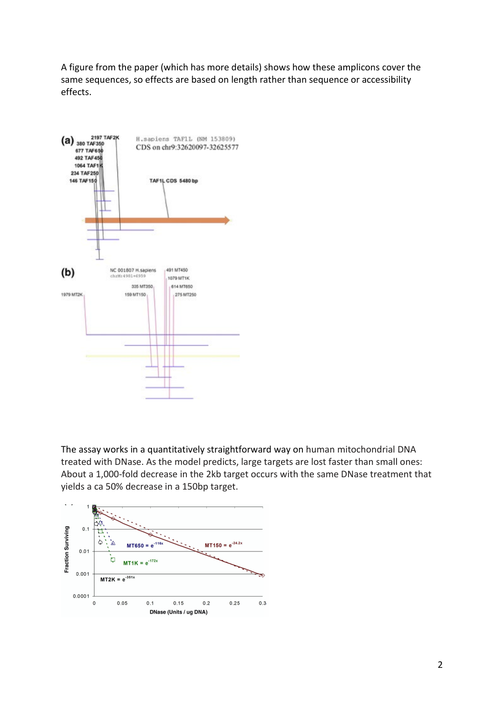A figure from the paper (which has more details) shows how these amplicons cover the same sequences, so effects are based on length rather than sequence or accessibility effects.



The assay works in a quantitatively straightforward way on human mitochondrial DNA treated with DNase. As the model predicts, large targets are lost faster than small ones: About a 1,000-fold decrease in the 2kb target occurs with the same DNase treatment that yields a ca 50% decrease in a 150bp target.